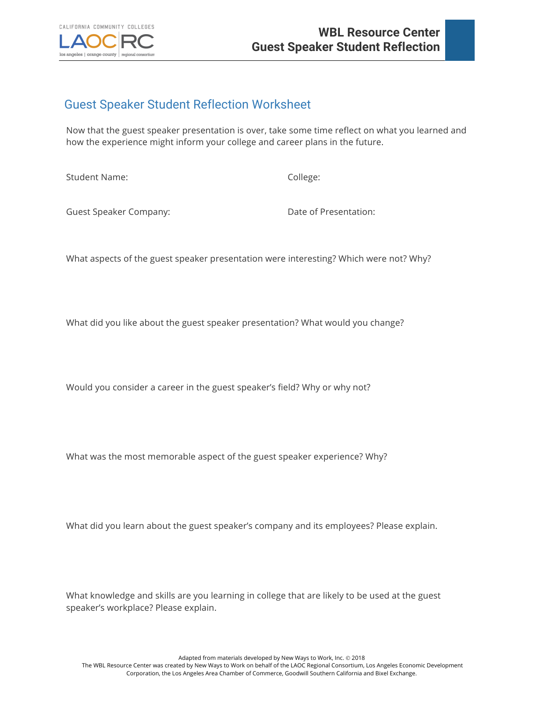

## Guest Speaker Student Reflection Worksheet

Now that the guest speaker presentation is over, take some time reflect on what you learned and how the experience might inform your college and career plans in the future.

Student Name: College:

Guest Speaker Company: Case of Presentation:

What aspects of the guest speaker presentation were interesting? Which were not? Why?

What did you like about the guest speaker presentation? What would you change?

Would you consider a career in the guest speaker's field? Why or why not?

What was the most memorable aspect of the guest speaker experience? Why?

What did you learn about the guest speaker's company and its employees? Please explain.

What knowledge and skills are you learning in college that are likely to be used at the guest speaker's workplace? Please explain.